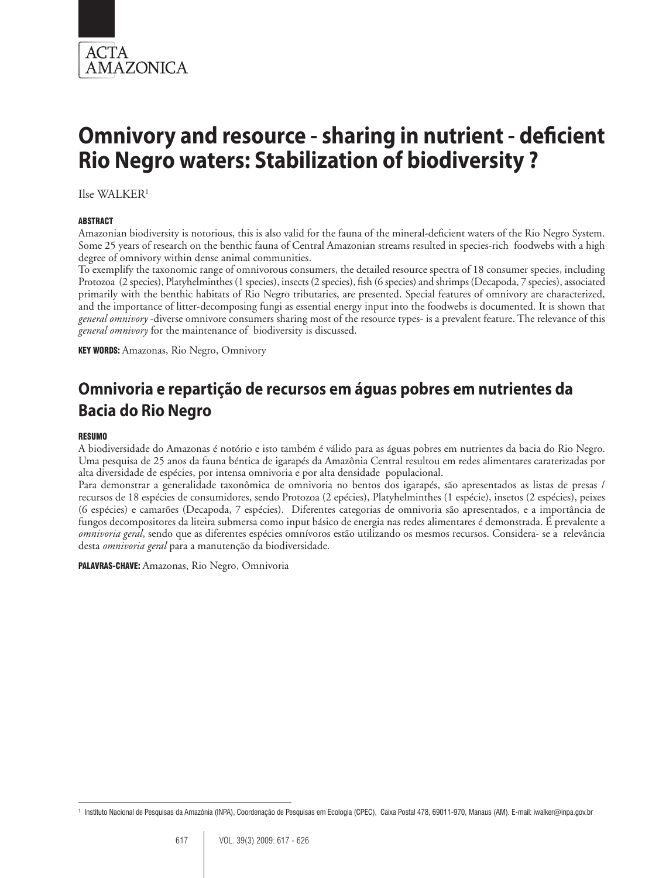

Ilse WALKER1

#### **ABSTRACT**

Amazonian biodiversity is notorious, this is also valid for the fauna of the mineral-deficient waters of the Rio Negro System. Some 25 years of research on the benthic fauna of Central Amazonian streams resulted in species-rich foodwebs with a high degree of omnivory within dense animal communities.

To exemplify the taxonomic range of omnivorous consumers, the detailed resource spectra of 18 consumer species, including Protozoa (2 species), Platyhelminthes (1 species), insects (2 species), fish (6 species) and shrimps (Decapoda, 7 species), associated primarily with the benthic habitats of Rio Negro tributaries, are presented. Special features of omnivory are characterized, and the importance of litter-decomposing fungi as essential energy input into the foodwebs is documented. It is shown that *general omnivory* -diverse omnivore consumers sharing most of the resource types- is a prevalent feature. The relevance of this *general omnivory* for the maintenance of biodiversity is discussed.

KEY WORDS: Amazonas, Rio Negro, Omnivory

# **Omnivoria e repartição de recursos em águas pobres em nutrientes da Bacia do Rio Negro**

#### **RESUMO**

A biodiversidade do Amazonas é notório e isto também é válido para as águas pobres em nutrientes da bacia do Rio Negro. Uma pesquisa de 25 anos da fauna béntica de igarapés da Amazônia Central resultou em redes alimentares caraterizadas por alta diversidade de espécies, por intensa omnivoria e por alta densidade populacional.

Para demonstrar a generalidade taxonômica de omnivoria no bentos dos igarapés, são apresentados as listas de presas / recursos de 18 espécies de consumidores, sendo Protozoa (2 epécies), Platyhelminthes (1 espécie), insetos (2 espécies), peixes (6 espécies) e camarões (Decapoda, 7 espécies). Diferentes categorias de omnivoria são apresentados, e a importância de fungos decompositores da liteira submersa como input básico de energia nas redes alimentares é demonstrada. É prevalente a *omnivoria geral*, sendo que as diferentes espécies omnívoros estão utilizando os mesmos recursos. Considera- se a relevância desta *omnivoria geral* para a manutenção da biodiversidade.

PALAVRAS-CHAVE: Amazonas, Rio Negro, Omnivoria

<sup>1</sup> Instituto Nacional de Pesquisas da Amazônia (INPA), Coordenação de Pesquisas em Ecologia (CPEC), Caixa Postal 478, 69011-970, Manaus (AM). E-mail: iwalker@inpa.gov.br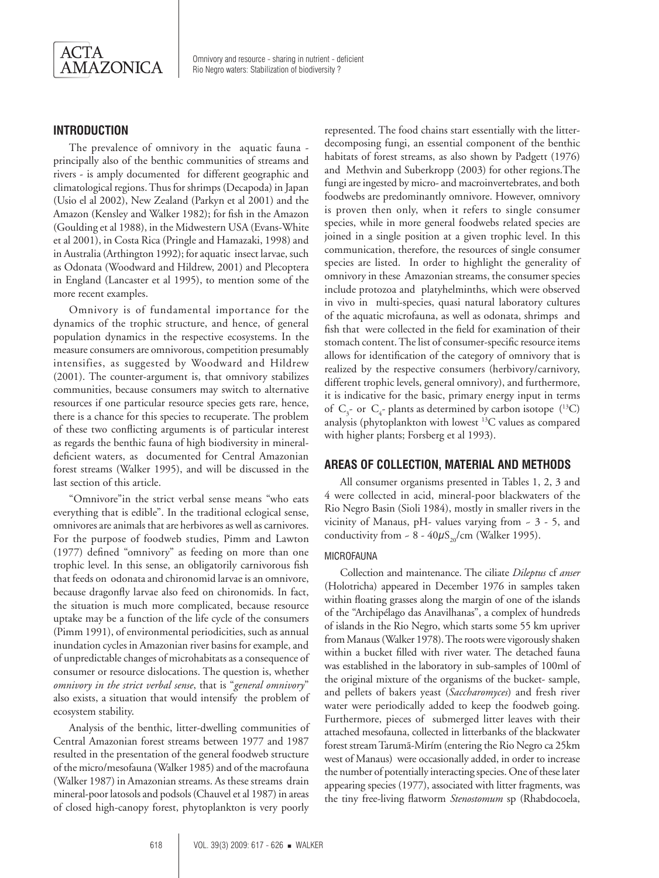

# **INTRODUCTION**

The prevalence of omnivory in the aquatic fauna principally also of the benthic communities of streams and rivers - is amply documentedfor different geographic and climatological regions. Thus for shrimps (Decapoda) in Japan (Usio el al 2002), New Zealand (Parkyn et al 2001) and the Amazon (Kensley and Walker 1982); for fish in the Amazon (Goulding et al 1988), in the Midwestern USA (Evans-White et al 2001), in Costa Rica (Pringle and Hamazaki, 1998) and in Australia (Arthington 1992); for aquatic insect larvae, such as Odonata (Woodward and Hildrew, 2001) and Plecoptera in England (Lancaster et al 1995), to mention some of the more recent examples.

Omnivory is of fundamental importance for the dynamics of the trophic structure, and hence, of general population dynamics in the respective ecosystems. In the measure consumers are omnivorous, competition presumably intensifies, as suggested by Woodward and Hildrew (2001). The counter-argument is, that omnivory stabilizes communities, because consumers may switch to alternative resources if one particular resource species gets rare, hence, there is a chance for this species to recuperate. The problem of these two conflicting arguments is of particular interest as regards the benthic fauna of high biodiversity in mineraldeficient waters, as documented for Central Amazonian forest streams (Walker 1995), and will be discussed in the last section of this article.

"Omnivore"in the strict verbal sense means "who eats everything that is edible". In the traditional eclogical sense, omnivores are animals that are herbivores as well as carnivores. For the purpose of foodweb studies, Pimm and Lawton (1977) defined "omnivory" as feeding on more than one trophic level. In this sense, an obligatorily carnivorous fish that feeds on odonata and chironomid larvae is an omnivore, because dragonfly larvae also feed on chironomids. In fact, the situation is much more complicated, because resource uptake may be a function of the life cycle of the consumers (Pimm 1991), of environmental periodicities, such as annual inundation cycles in Amazonian river basins for example, and of unpredictable changes of microhabitats as a consequence of consumer or resource dislocations. The question is, whether *omnivory in the strict verbal sense*, that is "*general omnivory*" also exists, a situation that would intensify the problem of ecosystem stability.

Analysis of the benthic, litter-dwelling communities of Central Amazonian forest streams between 1977 and 1987 resulted in the presentation of the general foodweb structure of the micro/mesofauna (Walker 1985) and of the macrofauna (Walker 1987) in Amazonian streams. As these streams drain mineral-poor latosols and podsols (Chauvel et al 1987) in areas of closed high-canopy forest, phytoplankton is very poorly

represented. The food chains start essentially with the litterdecomposing fungi, an essential component of the benthic habitats of forest streams, as also shown by Padgett (1976) and Methvin and Suberkropp (2003) for other regions.The fungi are ingested by micro- and macroinvertebrates, and both foodwebs are predominantly omnivore. However, omnivory is proven then only, when it refers to single consumer species, while in more general foodwebs related species are joined in a single position at a given trophic level. In this communication, therefore, the resources of single consumer species are listed. In order to highlight the generality of omnivory in these Amazonian streams, the consumer species include protozoa and platyhelminths, which were observed in vivo in multi-species, quasi natural laboratory cultures of the aquatic microfauna, as well as odonata, shrimps and fish that were collected in the field for examination of their stomach content. The list of consumer-specific resource items allows for identification of the category of omnivory that is realized by the respective consumers (herbivory/carnivory, different trophic levels, general omnivory), and furthermore, it is indicative for the basic, primary energy input in terms of  $C_3$ - or  $C_4$ - plants as determined by carbon isotope (<sup>13</sup>C) analysis (phytoplankton with lowest 13C values as compared with higher plants; Forsberg et al 1993).

# **Areas of Collection, Material and Methods**

All consumer organisms presented in Tables 1, 2, 3 and 4 were collected in acid, mineral-poor blackwaters of the Rio Negro Basin (Sioli 1984), mostly in smaller rivers in the vicinity of Manaus, pH- values varying from ~ 3 - 5, and conductivity from  $\sim 8 - 40 \mu S_{20}/cm$  (Walker 1995).

#### **MICROFAUNA**

Collection and maintenance. The ciliate *Dileptus* cf *anser*  (Holotricha) appeared in December 1976 in samples taken within floating grasses along the margin of one of the islands of the "Archipélago das Anavilhanas", a complex of hundreds of islands in the Rio Negro, which starts some 55 km upriver from Manaus (Walker 1978). The roots were vigorously shaken within a bucket filled with river water. The detached fauna was established in the laboratory in sub-samples of 100ml of the original mixture of the organisms of the bucket- sample, and pellets of bakers yeast (*Saccharomyces*) and fresh river water were periodically added to keep the foodweb going. Furthermore, pieces of submerged litter leaves with their attached mesofauna, collected in litterbanks of the blackwater forest stream Tarumã-Mirím (entering the Rio Negro ca 25km west of Manaus) were occasionally added, in order to increase the number of potentially interacting species. One of these later appearing species (1977), associated with litter fragments, was the tiny free-living flatworm *Stenostomum* sp (Rhabdocoela,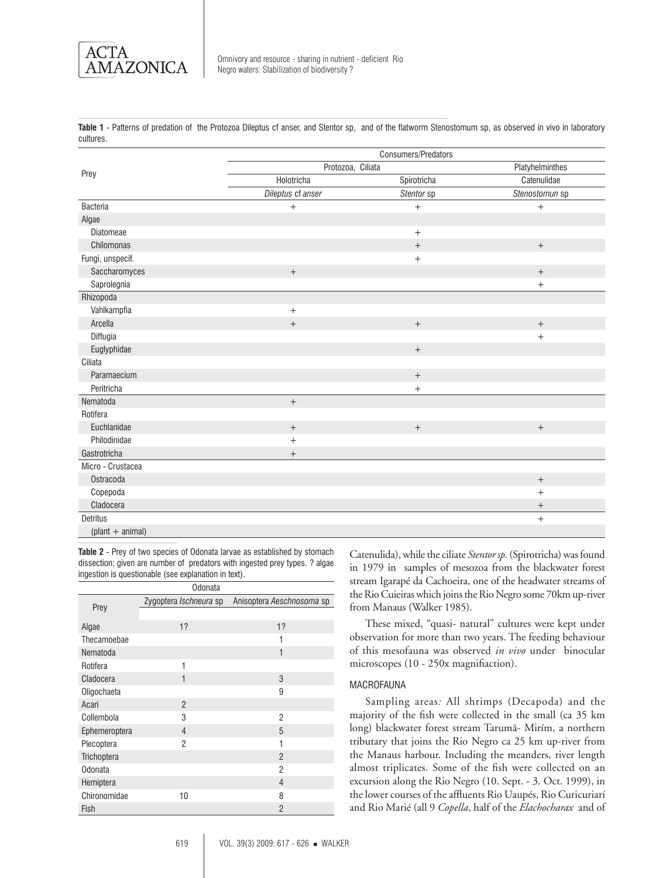

**Table 1** - Patterns of predation of the Protozoa Dileptus cf anser, and Stentor sp, and of the flatworm Stenostomum sp, as observed in vivo in laboratory cultures.

|                    | Consumers/Predators              |                   |                   |  |  |  |  |  |  |
|--------------------|----------------------------------|-------------------|-------------------|--|--|--|--|--|--|
| Prey               | Protozoa, Ciliata                |                   | Platyhelminthes   |  |  |  |  |  |  |
|                    | Holotricha                       | Spirotricha       | Catenulidae       |  |  |  |  |  |  |
|                    | Dileptus cf anser                | Stentor sp        | Stenostomun sp    |  |  |  |  |  |  |
| <b>Bacteria</b>    | $\qquad \qquad +$                | $+$               | $+$               |  |  |  |  |  |  |
| Algae              |                                  |                   |                   |  |  |  |  |  |  |
| Diatomeae          |                                  | $+$               |                   |  |  |  |  |  |  |
| Chilomonas         |                                  | $^{+}$            | $+$               |  |  |  |  |  |  |
| Fungi, unspecif.   |                                  | $+$               |                   |  |  |  |  |  |  |
| Saccharomyces      | $\qquad \qquad +$                |                   | $+$               |  |  |  |  |  |  |
| Saprolegnia        |                                  |                   | $\qquad \qquad +$ |  |  |  |  |  |  |
| Rhizopoda          |                                  |                   |                   |  |  |  |  |  |  |
| Vahlkampfia        | $+$                              |                   |                   |  |  |  |  |  |  |
| Arcella            | $\boldsymbol{+}$                 | $\boldsymbol{+}$  | $^{+}$            |  |  |  |  |  |  |
| Diffugia           |                                  |                   | $+$               |  |  |  |  |  |  |
| Euglyphidae        |                                  | $\qquad \qquad +$ |                   |  |  |  |  |  |  |
| Ciliata            |                                  |                   |                   |  |  |  |  |  |  |
| Paramaecium        |                                  | $\boldsymbol{+}$  |                   |  |  |  |  |  |  |
| Peritricha         |                                  | $\boldsymbol{+}$  |                   |  |  |  |  |  |  |
| Nematoda           | $+$                              |                   |                   |  |  |  |  |  |  |
| Rotifera           |                                  |                   |                   |  |  |  |  |  |  |
| Euchlanidae        | $\boldsymbol{+}$                 | $\boldsymbol{+}$  | $\qquad \qquad +$ |  |  |  |  |  |  |
| Philodinidae       | $+$                              |                   |                   |  |  |  |  |  |  |
| Gastrotricha       | $\begin{array}{c} + \end{array}$ |                   |                   |  |  |  |  |  |  |
| Micro - Crustacea  |                                  |                   |                   |  |  |  |  |  |  |
| Ostracoda          |                                  |                   | $\qquad \qquad +$ |  |  |  |  |  |  |
| Copepoda           |                                  |                   | $+$               |  |  |  |  |  |  |
| Cladocera          |                                  |                   | $^{+}$            |  |  |  |  |  |  |
| <b>Detritus</b>    |                                  |                   | $+$               |  |  |  |  |  |  |
| $(plant + animal)$ |                                  |                   |                   |  |  |  |  |  |  |

**Table 2** - Prey of two species of Odonata larvae as established by stomach dissection; given are number of predators with ingested prey types. ? algae ingestion is questionable (see explanation in text).

| Odonata       |                        |                           |  |  |  |  |  |  |  |  |
|---------------|------------------------|---------------------------|--|--|--|--|--|--|--|--|
| Prey          | Zygoptera Ischneura sp | Anisoptera Aeschnosoma sp |  |  |  |  |  |  |  |  |
|               |                        |                           |  |  |  |  |  |  |  |  |
| Algae         | 1?                     | 1?                        |  |  |  |  |  |  |  |  |
| Thecamoebae   |                        | 1                         |  |  |  |  |  |  |  |  |
| Nematoda      |                        | 1                         |  |  |  |  |  |  |  |  |
| Rotifera      | 1                      |                           |  |  |  |  |  |  |  |  |
| Cladocera     | $\mathbf{1}$           | 3                         |  |  |  |  |  |  |  |  |
| Oligochaeta   |                        | 9                         |  |  |  |  |  |  |  |  |
| Acari         | $\overline{2}$         |                           |  |  |  |  |  |  |  |  |
| Collembola    | 3                      | 2                         |  |  |  |  |  |  |  |  |
| Ephemeroptera | $\overline{4}$         | 5                         |  |  |  |  |  |  |  |  |
| Plecoptera    | 2                      | 1                         |  |  |  |  |  |  |  |  |
| Trichoptera   |                        | $\mathfrak{p}$            |  |  |  |  |  |  |  |  |
| Odonata       |                        | 2                         |  |  |  |  |  |  |  |  |
| Hemiptera     |                        | $\overline{4}$            |  |  |  |  |  |  |  |  |
| Chironomidae  | 10                     | 8                         |  |  |  |  |  |  |  |  |
| Fish          |                        | 2                         |  |  |  |  |  |  |  |  |

Catenulida), while the ciliate *Stentor sp.* (Spirotricha) was found in 1979 in samples of mesozoa from the blackwater forest stream Igarapé da Cachoeira, one of the headwater streams of the Rio Cuieiras which joins the Rio Negro some 70km up-river from Manaus (Walker 1985).

These mixed, "quasi- natural" cultures were kept under observation for more than two years. The feeding behaviour of this mesofauna was observed *in vivo* under binocular microscopes (10 - 250x magnifiaction).

#### **MACROFAUNA**

Sampling areas*:* All shrimps (Decapoda) and the majority of the fish were collected in the small (ca 35 km long) blackwater forest stream Tarumã- Mirím, a northern tributary that joins the Rio Negro ca 25 km up-river from the Manaus harbour. Including the meanders, river length almost triplicates. Some of the fish were collected on an excursion along the Rio Negro (10. Sept. - 3. Oct. 1999), in the lower courses of the affluents Rio Uaupés, Rio Curicuriarí and Rio Marié (all 9 *Copella*, half of the *Elachocharax* and of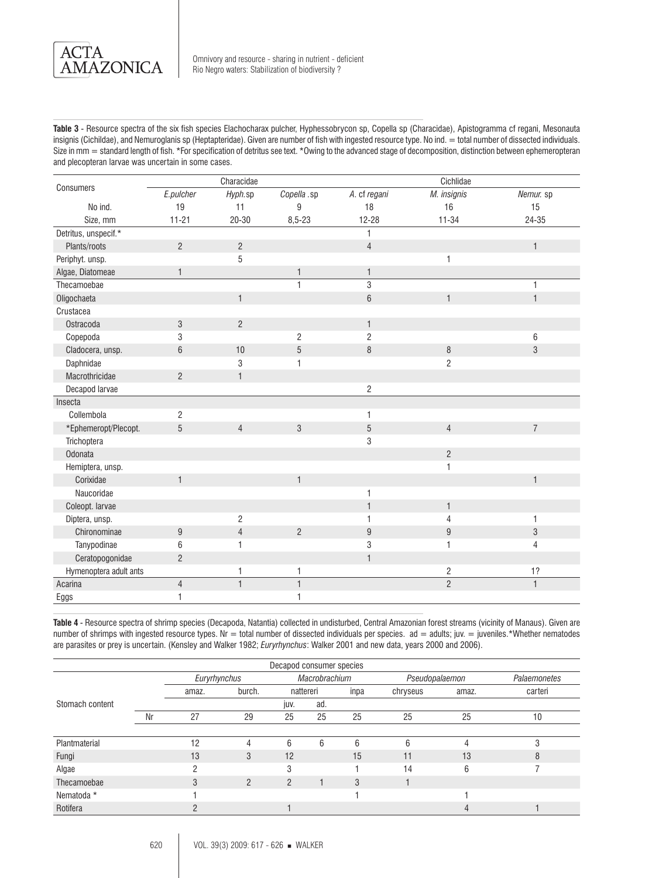

**Table 3** - Resource spectra of the six fish species Elachocharax pulcher, Hyphessobrycon sp, Copella sp (Characidae), Apistogramma cf regani, Mesonauta insignis (Cichildae), and Nemuroglanis sp (Heptapteridae). Given are number of fish with ingested resource type. No ind. = total number of dissected individuals. Size in mm = standard length of fish. \*For specification of detritus see text. \*Owing to the advanced stage of decomposition, distinction between ephemeropteran and plecopteran larvae was uncertain in some cases.

|                        |                | Characidae     |                |                 | Cichlidae        |                |
|------------------------|----------------|----------------|----------------|-----------------|------------------|----------------|
| Consumers              | E.pulcher      | Hyph.sp        | Copella .sp    | A. cf regani    | M. insignis      | Nemur. sp      |
| No ind.                | 19             | 11             | 9              | 18              | 16               | 15             |
| Size, mm               | $11 - 21$      | $20 - 30$      | $8,5 - 23$     | 12-28           | $11 - 34$        | 24-35          |
| Detritus, unspecif.*   |                |                |                | $\mathbf{1}$    |                  |                |
| Plants/roots           | $\overline{c}$ | $\overline{c}$ |                | $\overline{4}$  |                  | $\mathbf{1}$   |
| Periphyt. unsp.        |                | 5              |                |                 | $\mathbf{1}$     |                |
| Algae, Diatomeae       | $\mathbf{1}$   |                | 1              | $\mathbf{1}$    |                  |                |
| Thecamoebae            |                |                | 1              | 3               |                  | $\mathbf{1}$   |
| Oligochaeta            |                | $\mathbf{1}$   |                | $6\phantom{1}6$ | $\mathbf{1}$     | $\mathbf{1}$   |
| Crustacea              |                |                |                |                 |                  |                |
| Ostracoda              | 3              | $\overline{2}$ |                | $\mathbf{1}$    |                  |                |
| Copepoda               | 3              |                | $\overline{c}$ | $\overline{2}$  |                  | 6              |
| Cladocera, unsp.       | $6\phantom{1}$ | 10             | 5              | 8               | $\, 8$           | $\mathfrak{S}$ |
| Daphnidae              |                | 3              |                |                 | $\overline{c}$   |                |
| Macrothricidae         | $\overline{2}$ | $\mathbf{1}$   |                |                 |                  |                |
| Decapod larvae         |                |                |                | $\mathbf{2}$    |                  |                |
| Insecta                |                |                |                |                 |                  |                |
| Collembola             | $\overline{c}$ |                |                | $\mathbf{1}$    |                  |                |
| *Ephemeropt/Plecopt.   | $\overline{5}$ | $\overline{4}$ | 3              | 5               | $\overline{4}$   | $\overline{7}$ |
| Trichoptera            |                |                |                | $\sqrt{3}$      |                  |                |
| Odonata                |                |                |                |                 | $\overline{c}$   |                |
| Hemiptera, unsp.       |                |                |                |                 | 1                |                |
| Corixidae              | $\mathbf{1}$   |                | $\mathbf{1}$   |                 |                  | $\mathbf{1}$   |
| Naucoridae             |                |                |                | $\mathbf{1}$    |                  |                |
| Coleopt. larvae        |                |                |                | $\mathbf{1}$    | $\mathbf{1}$     |                |
| Diptera, unsp.         |                | $\overline{c}$ |                | $\mathbf{1}$    | $\overline{4}$   | $\mathbf{1}$   |
| Chironominae           | 9              | $\overline{4}$ | $\overline{2}$ | 9               | $\boldsymbol{9}$ | $\sqrt{3}$     |
| Tanypodinae            | 6              | $\mathbf{1}$   |                | $\sqrt{3}$      | 1                | $\overline{4}$ |
| Ceratopogonidae        | $\overline{c}$ |                |                | $\overline{1}$  |                  |                |
| Hymenoptera adult ants |                | 1              | 1              |                 | 2                | 1?             |
| Acarina                | $\overline{4}$ | $\overline{1}$ | $\mathbf{1}$   |                 | $\overline{2}$   | $\overline{1}$ |
| Eggs                   | $\mathbf{1}$   |                | 1              |                 |                  |                |

**Table 4** - Resource spectra of shrimp species (Decapoda, Natantia) collected in undisturbed, Central Amazonian forest streams (vicinity of Manaus). Given are number of shrimps with ingested resource types. Nr = total number of dissected individuals per species. ad = adults; juv. = juveniles.\*Whether nematodes are parasites or prey is uncertain. (Kensley and Walker 1982; *Euryrhynchus*: Walker 2001 and new data, years 2000 and 2006).

| Decapod consumer species |    |              |                |           |               |      |                |       |              |
|--------------------------|----|--------------|----------------|-----------|---------------|------|----------------|-------|--------------|
|                          |    | Euryrhynchus |                |           | Macrobrachium |      | Pseudopalaemon |       | Palaemonetes |
|                          |    | amaz.        | burch.         | nattereri |               | inpa | chryseus       | amaz. | carteri      |
| Stomach content          |    |              |                | juv.      | ad.           |      |                |       |              |
|                          | Nr | 27           | 29             | 25        | 25            | 25   | 25             | 25    | 10           |
|                          |    |              |                |           |               |      |                |       |              |
| Plantmaterial            |    | 12           | 4              | 6         | 6             | 6    | 6              | 4     | 3            |
| Fungi                    |    | 13           | 3              | 12        |               | 15   | 11             | 13    | 8            |
| Algae                    |    | n            |                | 3         |               |      | 14             | 6     |              |
| Thecamoebae              |    | 3            | $\mathfrak{p}$ | 2         |               | 3    |                |       |              |
| Nematoda *               |    |              |                |           |               |      |                |       |              |
| Rotifera                 |    |              |                |           |               |      |                | 4     |              |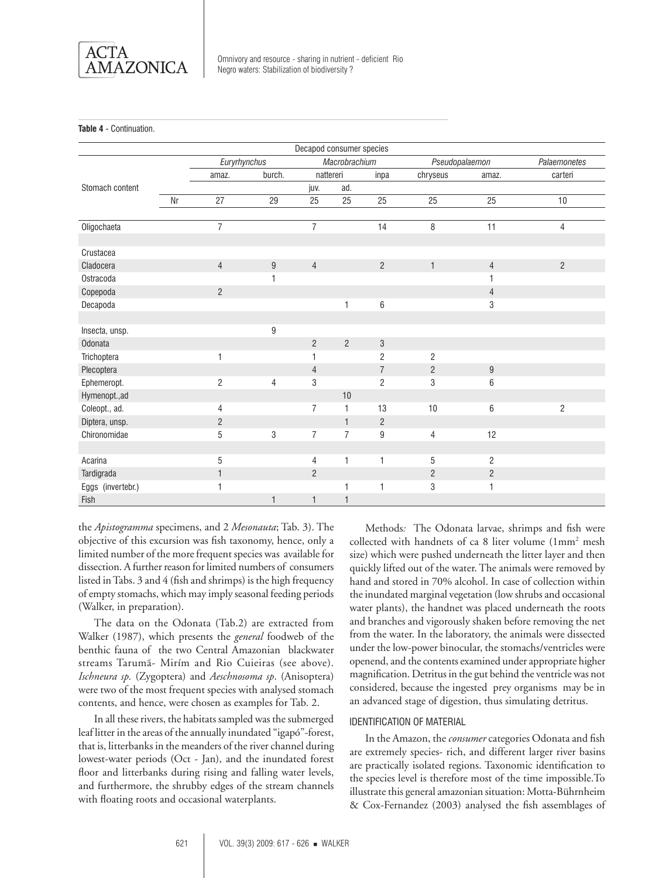

**Table 4** - Continuation.

| Decapod consumer species |    |                               |                |                |                |                |                |                 |                |
|--------------------------|----|-------------------------------|----------------|----------------|----------------|----------------|----------------|-----------------|----------------|
|                          |    | Macrobrachium<br>Euryrhynchus |                |                |                |                | Pseudopalaemon |                 | Palaemonetes   |
|                          |    | amaz.                         | burch.         | nattereri      |                | inpa           | chryseus       | amaz.           | carteri        |
| Stomach content          |    |                               |                | juv.           | ad.            |                |                |                 |                |
|                          | Nr | 27                            | 29             | 25             | 25             | 25             | 25             | 25              | 10             |
|                          |    |                               |                |                |                |                |                |                 |                |
| Oligochaeta              |    | $\overline{7}$                |                | $\overline{7}$ |                | 14             | 8              | 11              | $\overline{4}$ |
|                          |    |                               |                |                |                |                |                |                 |                |
| Crustacea                |    |                               |                |                |                |                |                |                 |                |
| Cladocera                |    | $\overline{4}$                | 9              | $\overline{4}$ |                | $\overline{2}$ | $\mathbf{1}$   | $\overline{4}$  | $\overline{2}$ |
| Ostracoda                |    |                               | 1              |                |                |                |                | 1               |                |
| Copepoda                 |    | $\overline{2}$                |                |                |                |                |                | $\overline{4}$  |                |
| Decapoda                 |    |                               |                |                | 1              | 6              |                | 3               |                |
|                          |    |                               |                |                |                |                |                |                 |                |
| Insecta, unsp.           |    |                               | 9              |                |                |                |                |                 |                |
| <b>Odonata</b>           |    |                               |                | $\overline{2}$ | $\overline{2}$ | $\sqrt{3}$     |                |                 |                |
| Trichoptera              |    | $\mathbf{1}$                  |                | 1              |                | $\overline{2}$ | $\overline{2}$ |                 |                |
| Plecoptera               |    |                               |                | $\overline{4}$ |                | $\overline{7}$ | $\overline{2}$ | 9               |                |
| Ephemeropt.              |    | $\overline{c}$                | $\overline{4}$ | 3              |                | $\overline{2}$ | 3              | $6\phantom{1}6$ |                |
| Hymenopt.,ad             |    |                               |                |                | 10             |                |                |                 |                |
| Coleopt., ad.            |    | 4                             |                | $\overline{7}$ | 1              | 13             | 10             | $6\phantom{1}6$ | $\overline{c}$ |
| Diptera, unsp.           |    | $\overline{c}$                |                |                | $\mathbf{1}$   | $\overline{c}$ |                |                 |                |
| Chironomidae             |    | 5                             | 3              | $\overline{7}$ | $\overline{7}$ | 9              | $\overline{4}$ | 12              |                |
|                          |    |                               |                |                |                |                |                |                 |                |
| Acarina                  |    | $\,$ 5 $\,$                   |                | 4              | 1              | 1              | 5              | $\overline{2}$  |                |
| Tardigrada               |    | $\mathbf{1}$                  |                | $\overline{2}$ |                |                | $\mathbf{2}$   | $\overline{c}$  |                |
| Eggs (invertebr.)        |    | 1                             |                |                |                | 1              | 3              | $\mathbf{1}$    |                |
| Fish                     |    |                               | 1              | $\mathbf{1}$   |                |                |                |                 |                |

the *Apistogramma* specimens, and 2 *Mesonauta*; Tab. 3). The objective of this excursion was fish taxonomy, hence, only a limited number of the more frequent species was available for dissection. A further reason for limited numbers of consumers listed in Tabs. 3 and 4 (fish and shrimps) is the high frequency of empty stomachs, which may imply seasonal feeding periods (Walker, in preparation).

The data on the Odonata (Tab.2) are extracted from Walker (1987), which presents the *general* foodweb of the benthic fauna of the two Central Amazonian blackwater streams Tarumã- Mirím and Rio Cuieiras (see above). *Ischneura sp.* (Zygoptera) and *Aeschnosoma sp*. (Anisoptera) were two of the most frequent species with analysed stomach contents, and hence, were chosen as examples for Tab. 2.

In all these rivers, the habitats sampled was the submerged leaf litter in the areas of the annually inundated "igapó"-forest, that is, litterbanks in the meanders of the river channel during lowest-water periods (Oct - Jan), and the inundated forest floor and litterbanks during rising and falling water levels, and furthermore, the shrubby edges of the stream channels with floating roots and occasional waterplants.

Methods*:* The Odonata larvae, shrimps and fish were collected with handnets of ca 8 liter volume (1mm2 mesh size) which were pushed underneath the litter layer and then quickly lifted out of the water. The animals were removed by hand and stored in 70% alcohol. In case of collection within the inundated marginal vegetation (low shrubs and occasional water plants), the handnet was placed underneath the roots and branches and vigorously shaken before removing the net from the water. In the laboratory, the animals were dissected under the low-power binocular, the stomachs/ventricles were openend, and the contents examined under appropriate higher magnification. Detritus in the gut behind the ventricle was not considered, because the ingested prey organisms may be in an advanced stage of digestion, thus simulating detritus.

#### Identification of material

In the Amazon, the *consumer* categories Odonata and fish are extremely species- rich, and different larger river basins are practically isolated regions. Taxonomic identification to the species level is therefore most of the time impossible.To illustrate this general amazonian situation: Motta-Bührnheim & Cox-Fernandez (2003) analysed the fish assemblages of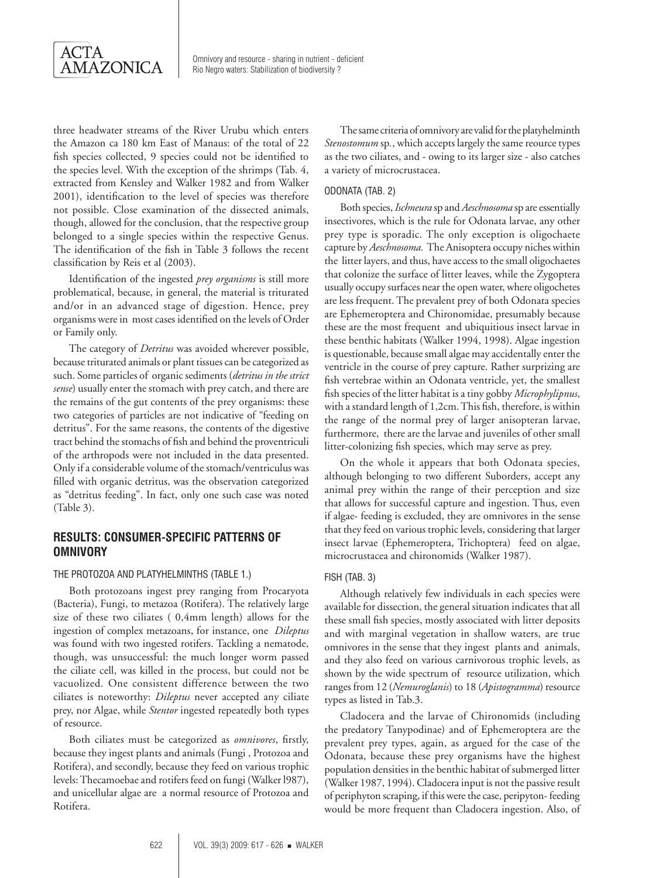

three headwater streams of the River Urubu which enters the Amazon ca 180 km East of Manaus: of the total of 22 fish species collected, 9 species could not be identified to the species level. With the exception of the shrimps (Tab. 4, extracted from Kensley and Walker 1982 and from Walker 2001), identification to the level of species was therefore not possible. Close examination of the dissected animals, though, allowed for the conclusion, that the respective group belonged to a single species within the respective Genus. The identification of the fish in Table 3 follows the recent classification by Reis et al (2003).

Identification of the ingested *prey organisms* is still more problematical, because, in general, the material is triturated and/or in an advanced stage of digestion. Hence, prey organisms were in most cases identified on the levels of Order or Family only.

The category of *Detritus* was avoided wherever possible, because triturated animals or plant tissues can be categorized as such. Some particles of organic sediments (*detritus in the strict sense*) usually enter the stomach with prey catch, and there are the remains of the gut contents of the prey organisms: these two categories of particles are not indicative of "feeding on detritus". For the same reasons, the contents of the digestive tract behind the stomachs of fish and behind the proventriculi of the arthropods were not included in the data presented. Only if a considerable volume of the stomach/ventriculus was filled with organic detritus, was the observation categorized as "detritus feeding". In fact, only one such case was noted (Table 3).

# **Results: Consumer-specific patterns of omnivory**

#### The Protozoa and Platyhelminths (Table 1.)

Both protozoans ingest prey ranging from Procaryota (Bacteria), Fungi, to metazoa (Rotifera). The relatively large size of these two ciliates ( 0,4mm length) allows for the ingestion of complex metazoans, for instance, one *Dileptus* was found with two ingested rotifers. Tackling a nematode, though, was unsuccessful: the much longer worm passed the ciliate cell, was killed in the process, but could not be vacuolized. One consistent difference between the two ciliates is noteworthy: *Dileptus* never accepted any ciliate prey, nor Algae, while *Stentor* ingested repeatedly both types of resource.

Both ciliates must be categorized as *omnivores*, firstly, because they ingest plants and animals (Fungi , Protozoa and Rotifera), and secondly, because they feed on various trophic levels: Thecamoebae and rotifers feed on fungi (Walker l987), and unicellular algae are a normal resource of Protozoa and Rotifera.

The same criteria of omnivory are valid for the platyhelminth *Stenostomum* sp*.*, which accepts largely the same reource types as the two ciliates, and - owing to its larger size - also catches a variety of microcrustacea.

#### Odonata (Tab. 2)

Both species, *Ischneura* sp and *Aeschnosoma* sp are essentially insectivores, which is the rule for Odonata larvae, any other prey type is sporadic. The only exception is oligochaete capture by *Aeschnosoma.* The Anisoptera occupy niches within the litter layers, and thus, have access to the small oligochaetes that colonize the surface of litter leaves, while the Zygoptera usually occupy surfaces near the open water, where oligochetes are less frequent. The prevalent prey of both Odonata species are Ephemeroptera and Chironomidae, presumably because these are the most frequent and ubiquitious insect larvae in these benthic habitats (Walker 1994, 1998). Algae ingestion is questionable, because small algae may accidentally enter the ventricle in the course of prey capture. Rather surprizing are fish vertebrae within an Odonata ventricle, yet, the smallest fish species of the litter habitat is a tiny gobby *Microphylipnus*, with a standard length of 1,2cm. This fish, therefore, is within the range of the normal prey of larger anisopteran larvae, furthermore, there are the larvae and juveniles of other small litter-colonizing fish species, which may serve as prey.

On the whole it appears that both Odonata species, although belonging to two different Suborders, accept any animal prey within the range of their perception and size that allows for successful capture and ingestion. Thus, even if algae- feeding is excluded, they are omnivores in the sense that they feed on various trophic levels, considering that larger insect larvae (Ephemeroptera, Trichoptera) feed on algae, microcrustacea and chironomids (Walker 1987).

#### Fish (Tab. 3)

Although relatively few individuals in each species were available for dissection, the general situation indicates that all these small fish species, mostly associated with litter deposits and with marginal vegetation in shallow waters, are true omnivores in the sense that they ingest plants and animals, and they also feed on various carnivorous trophic levels, as shown by the wide spectrum of resource utilization, which ranges from 12 (*Nemuroglanis*) to 18 (*Apistogramma*) resource types as listed in Tab.3.

Cladocera and the larvae of Chironomids (including the predatory Tanypodinae) and of Ephemeroptera are the prevalent prey types, again, as argued for the case of the Odonata, because these prey organisms have the highest population densities in the benthic habitat of submerged litter (Walker 1987, 1994). Cladocera input is not the passive result of periphyton scraping, if this were the case, peripyton- feeding would be more frequent than Cladocera ingestion. Also, of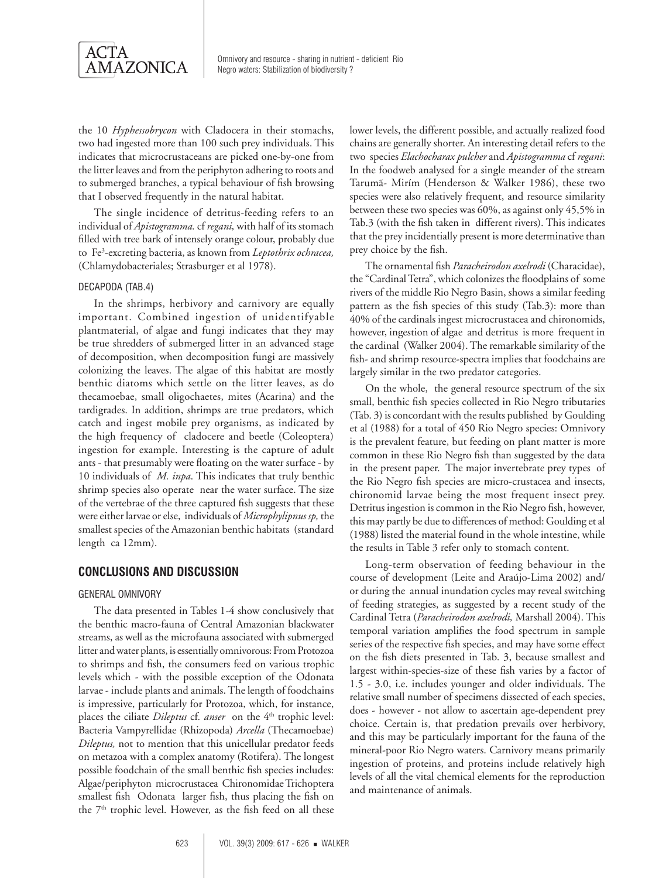

the 10 *Hyphessobrycon* with Cladocera in their stomachs, two had ingested more than 100 such prey individuals. This indicates that microcrustaceans are picked one-by-one from the litter leaves and from the periphyton adhering to roots and to submerged branches, a typical behaviour of fish browsing that I observed frequently in the natural habitat.

The single incidence of detritus-feeding refers to an individual of *Apistogramma.* cf *regani,* with half of its stomach filled with tree bark of intensely orange colour, probably due to Fe3 -excreting bacteria, as known from *Leptothrix ochracea,* (Chlamydobacteriales; Strasburger et al 1978).

#### Decapoda (Tab.4)

In the shrimps, herbivory and carnivory are equally important. Combined ingestion of unidentifyable plantmaterial, of algae and fungi indicates that they may be true shredders of submerged litter in an advanced stage of decomposition, when decomposition fungi are massively colonizing the leaves. The algae of this habitat are mostly benthic diatoms which settle on the litter leaves, as do thecamoebae, small oligochaetes, mites (Acarina) and the tardigrades. In addition, shrimps are true predators, which catch and ingest mobile prey organisms, as indicated by the high frequency of cladocere and beetle (Coleoptera) ingestion for example. Interesting is the capture of adult ants - that presumably were floating on the water surface - by 10 individuals of *M. inpa*. This indicates that truly benthic shrimp species also operate near the water surface. The size of the vertebrae of the three captured fish suggests that these were either larvae or else, individuals of *Microphylipnus sp,* the smallest species of the Amazonian benthic habitats (standard length ca 12mm).

## **CONCLUSIONS AND DISCUSSION**

#### General omnivory

The data presented in Tables 1-4 show conclusively that the benthic macro-fauna of Central Amazonian blackwater streams, as well as the microfauna associated with submerged litter and water plants, is essentially omnivorous: From Protozoa to shrimps and fish, the consumers feed on various trophic levels which - with the possible exception of the Odonata larvae - include plants and animals. The length of foodchains is impressive, particularly for Protozoa, which, for instance, places the ciliate *Dileptus* cf. *anser* on the 4<sup>th</sup> trophic level: Bacteria Vampyrellidae (Rhizopoda) *Arcella* (Thecamoebae) *Dileptus,* not to mention that this unicellular predator feeds on metazoa with a complex anatomy (Rotifera). The longest possible foodchain of the small benthic fish species includes: Algae/periphyton microcrustacea Chironomidae Trichoptera smallest fish Odonata larger fish, thus placing the fish on the  $7<sup>th</sup>$  trophic level. However, as the fish feed on all these

lower levels, the different possible, and actually realized food chains are generally shorter. An interesting detail refers to the two species *Elachocharax pulcher* and *Apistogramma* cf *regani*: In the foodweb analysed for a single meander of the stream Tarumã- Mirím (Henderson & Walker 1986), these two species were also relatively frequent, and resource similarity between these two species was 60%, as against only 45,5% in Tab.3 (with the fish taken in different rivers). This indicates that the prey incidentially present is more determinative than prey choice by the fish.

The ornamental fish *Paracheirodon axelrodi* (Characidae), the "Cardinal Tetra", which colonizes the floodplains of some rivers of the middle Rio Negro Basin, shows a similar feeding pattern as the fish species of this study (Tab.3): more than 40% of the cardinals ingest microcrustacea and chironomids, however, ingestion of algae and detritus is more frequent in the cardinal (Walker 2004). The remarkable similarity of the fish- and shrimp resource-spectra implies that foodchains are largely similar in the two predator categories.

On the whole, the general resource spectrum of the six small, benthic fish species collected in Rio Negro tributaries (Tab. 3) is concordant with the results published by Goulding et al (1988) for a total of 450 Rio Negro species: Omnivory is the prevalent feature, but feeding on plant matter is more common in these Rio Negro fish than suggested by the data in the present paper. The major invertebrate prey types of the Rio Negro fish species are micro-crustacea and insects, chironomid larvae being the most frequent insect prey. Detritus ingestion is common in the Rio Negro fish, however, this may partly be due to differences of method: Goulding et al (1988) listed the material found in the whole intestine, while the results in Table 3 refer only to stomach content.

Long-term observation of feeding behaviour in the course of development (Leite and Araújo-Lima 2002) and/ or during the annual inundation cycles may reveal switching of feeding strategies, as suggested by a recent study of the Cardinal Tetra (*Paracheirodon axelrodi,* Marshall 2004). This temporal variation amplifies the food spectrum in sample series of the respective fish species, and may have some effect on the fish diets presented in Tab. 3, because smallest and largest within-species-size of these fish varies by a factor of 1.5 - 3.0, i.e. includes younger and older individuals. The relative small number of specimens dissected of each species, does - however - not allow to ascertain age-dependent prey choice. Certain is, that predation prevails over herbivory, and this may be particularly important for the fauna of the mineral-poor Rio Negro waters. Carnivory means primarily ingestion of proteins, and proteins include relatively high levels of all the vital chemical elements for the reproduction and maintenance of animals.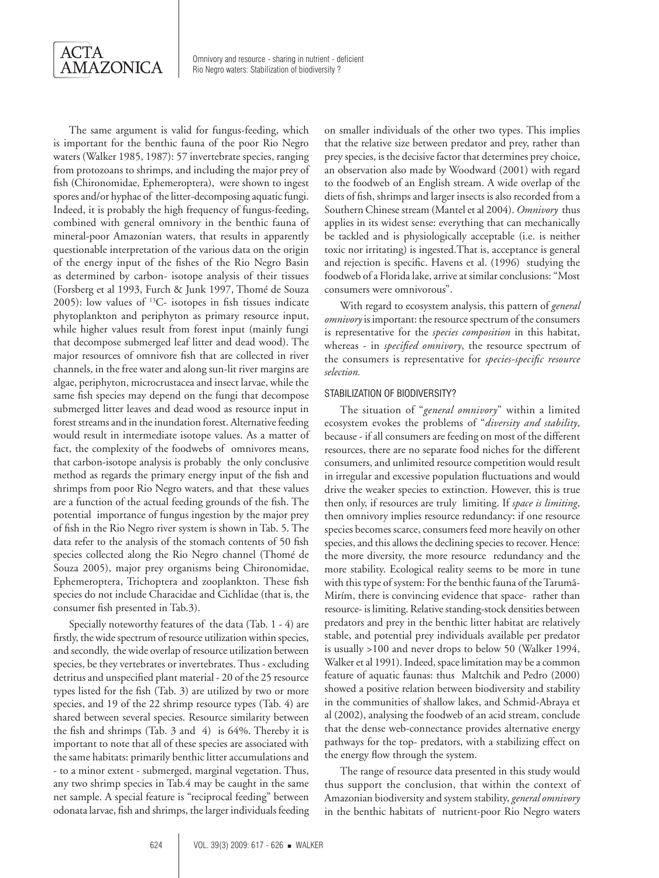

The same argument is valid for fungus-feeding, which is important for the benthic fauna of the poor Rio Negro waters (Walker 1985, 1987): 57 invertebrate species, ranging from protozoans to shrimps, and including the major prey of fish (Chironomidae, Ephemeroptera), were shown to ingest spores and/or hyphae of the litter-decomposing aquatic fungi. Indeed, it is probably the high frequency of fungus-feeding, combined with general omnivory in the benthic fauna of mineral-poor Amazonian waters, that results in apparently questionable interpretation of the various data on the origin of the energy input of the fishes of the Rio Negro Basin as determined by carbon- isotope analysis of their tissues (Forsberg et al 1993, Furch & Junk 1997, Thomé de Souza 2005): low values of 13C- isotopes in fish tissues indicate phytoplankton and periphyton as primary resource input, while higher values result from forest input (mainly fungi that decompose submerged leaf litter and dead wood). The major resources of omnivore fish that are collected in river channels, in the free water and along sun-lit river margins are algae, periphyton, microcrustacea and insect larvae, while the same fish species may depend on the fungi that decompose submerged litter leaves and dead wood as resource input in forest streams and in the inundation forest. Alternative feeding would result in intermediate isotope values. As a matter of fact, the complexity of the foodwebs of omnivores means, that carbon-isotope analysis is probably the only conclusive method as regards the primary energy input of the fish and shrimps from poor Rio Negro waters, and that these values are a function of the actual feeding grounds of the fish. The potential importance of fungus ingestion by the major prey of fish in the Rio Negro river system is shown in Tab. 5. The data refer to the analysis of the stomach contents of 50 fish species collected along the Rio Negro channel (Thomé de Souza 2005), major prey organisms being Chironomidae, Ephemeroptera, Trichoptera and zooplankton. These fish species do not include Characidae and Cichlidae (that is, the consumer fish presented in Tab.3).

Specially noteworthy features of the data (Tab. 1 - 4) are firstly, the wide spectrum of resource utilization within species, and secondly, the wide overlap of resource utilization between species, be they vertebrates or invertebrates. Thus - excluding detritus and unspecified plant material - 20 of the 25 resource types listed for the fish (Tab. 3) are utilized by two or more species, and 19 of the 22 shrimp resource types (Tab. 4) are shared between several species. Resource similarity between the fish and shrimps (Tab. 3 and 4) is 64%. Thereby it is important to note that all of these species are associated with the same habitats: primarily benthic litter accumulations and - to a minor extent - submerged, marginal vegetation. Thus, any two shrimp species in Tab.4 may be caught in the same net sample. A special feature is "reciprocal feeding" between odonata larvae, fish and shrimps, the larger individuals feeding on smaller individuals of the other two types. This implies that the relative size between predator and prey, rather than prey species, is the decisive factor that determines prey choice, an observation also made by Woodward (2001) with regard to the foodweb of an English stream. A wide overlap of the diets of fish, shrimps and larger insects is also recorded from a Southern Chinese stream (Mantel et al 2004). *Omnivory* thus applies in its widest sense: everything that can mechanically be tackled and is physiologically acceptable (i.e. is neither toxic nor irritating) is ingested.That is, acceptance is general and rejection is specific. Havens et al. (1996) studying the foodweb of a Florida lake, arrive at similar conclusions: "Most consumers were omnivorous".

With regard to ecosystem analysis, this pattern of *general omnivory* is important: the resource spectrum of the consumers is representative for the *species composition* in this habitat, whereas - in *specified omnivory*, the resource spectrum of the consumers is representative for *species-specific resource selection.*

#### STABILIZATION OF BIODIVERSITY?

The situation of "*general omnivory*" within a limited ecosystem evokes the problems of "*diversity and stability*, because - if all consumers are feeding on most of the different resources, there are no separate food niches for the different consumers, and unlimited resource competition would result in irregular and excessive population fluctuations and would drive the weaker species to extinction. However, this is true then only, if resources are truly limiting. If *space is limiting*, then omnivory implies resource redundancy: if one resource species becomes scarce, consumers feed more heavily on other species, and this allows the declining species to recover. Hence: the more diversity, the more resource redundancy and the more stability. Ecological reality seems to be more in tune with this type of system: For the benthic fauna of the Tarumã-Mirím, there is convincing evidence that space- rather than resource- is limiting. Relative standing-stock densities between predators and prey in the benthic litter habitat are relatively stable, and potential prey individuals available per predator is usually >100 and never drops to below 50 (Walker 1994, Walker et al 1991). Indeed, space limitation may be a common feature of aquatic faunas: thus Maltchik and Pedro (2000) showed a positive relation between biodiversity and stability in the communities of shallow lakes, and Schmid-Abraya et al (2002), analysing the foodweb of an acid stream, conclude that the dense web-connectance provides alternative energy pathways for the top- predators, with a stabilizing effect on the energy flow through the system.

The range of resource data presented in this study would thus support the conclusion, that within the context of Amazonian biodiversity and system stability, *general omnivory* in the benthic habitats of nutrient-poor Rio Negro waters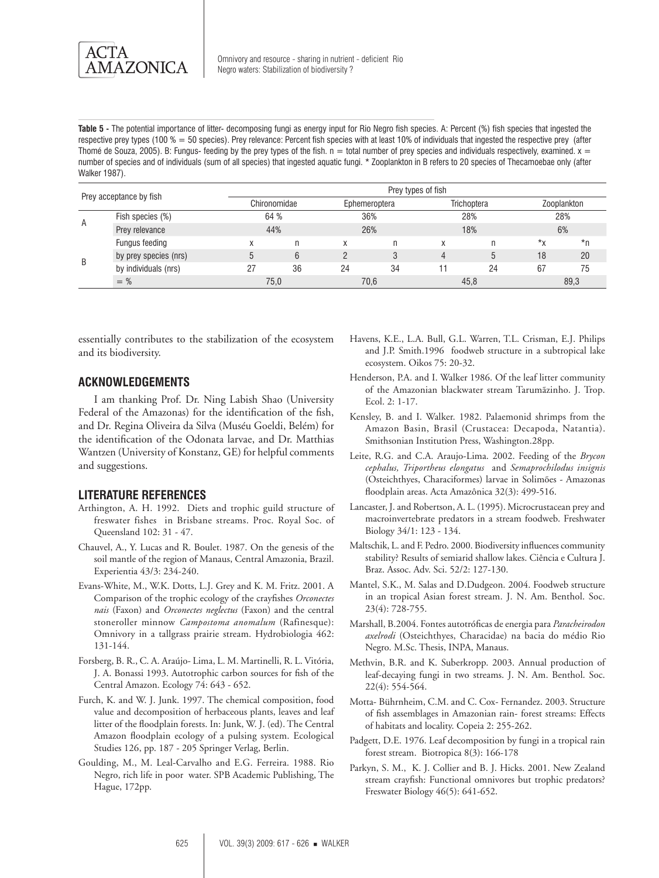**Table 5** - The potential importance of litter- decomposing fungi as energy input for Rio Negro fish species. A: Percent (%) fish species that ingested the respective prey types (100  $% = 50$  species). Prey relevance: Percent fish species with at least 10% of individuals that ingested the respective prey (after Thomé de Souza, 2005). B: Fungus- feeding by the prey types of the fish.  $n =$  total number of prey species and individuals respectively, examined.  $x =$ number of species and of individuals (sum of all species) that ingested aquatic fungi. \* Zooplankton in B refers to 20 species of Thecamoebae only (after Walker 1987).

| Prey acceptance by fish |                       |    | Prey types of fish |    |               |   |             |                  |             |  |  |
|-------------------------|-----------------------|----|--------------------|----|---------------|---|-------------|------------------|-------------|--|--|
|                         |                       |    | Chironomidae       |    | Ephemeroptera |   | Trichoptera |                  | Zooplankton |  |  |
|                         | Fish species (%)      |    | 64 %               |    | 36%           |   | 28%         |                  | 28%         |  |  |
| A                       | Prey relevance        |    | 44%                |    | 26%           |   | 18%         |                  | 6%          |  |  |
| B                       | Fungus feeding        | X  | n                  | x  | n             | x | n           | $*_{\mathsf{X}}$ | *n          |  |  |
|                         | by prey species (nrs) | 5  | 6                  |    |               | 4 | 5           | 18               | 20          |  |  |
|                         | by individuals (nrs)  | 27 | 36                 | 24 | 34            |   | 24          | 67               | 75          |  |  |
|                         | $=$ %                 |    | 75.0               |    | 70.6          |   | 45.8        | 89,3             |             |  |  |

essentially contributes to the stabilization of the ecosystem and its biodiversity.

## **Acknowledgements**

I am thanking Prof. Dr. Ning Labish Shao (University Federal of the Amazonas) for the identification of the fish, and Dr. Regina Oliveira da Silva (Muséu Goeldi, Belém) for the identification of the Odonata larvae, and Dr. Matthias Wantzen (University of Konstanz, GE) for helpful comments and suggestions.

#### **LITERATURE REFERENCES**

- Arthington, A. H. 1992. Diets and trophic guild structure of freswater fishes in Brisbane streams. Proc. Royal Soc. of Queensland 102: 31 - 47.
- Chauvel, A., Y. Lucas and R. Boulet. 1987. On the genesis of the soil mantle of the region of Manaus, Central Amazonia, Brazil. Experientia 43/3: 234-240.
- Evans-White, M., W.K. Dotts, L.J. Grey and K. M. Fritz. 2001. A Comparison of the trophic ecology of the crayfishes *Orconectes nais* (Faxon) and *Orconectes neglectus* (Faxon) and the central stoneroller minnow *Campostoma anomalum* (Rafinesque): Omnivory in a tallgrass prairie stream. Hydrobiologia 462: 131-144.
- Forsberg, B. R., C. A. Araújo- Lima, L. M. Martinelli, R. L. Vitória, J. A. Bonassi 1993. Autotrophic carbon sources for fish of the Central Amazon. Ecology 74: 643 - 652.
- Furch, K. and W. J. Junk. 1997. The chemical composition, food value and decomposition of herbaceous plants, leaves and leaf litter of the floodplain forests. In: Junk, W. J. (ed). The Central Amazon floodplain ecology of a pulsing system. Ecological Studies 126, pp. 187 - 205 Springer Verlag, Berlin.
- Goulding, M., M. Leal-Carvalho and E.G. Ferreira. 1988. Rio Negro, rich life in poor water. SPB Academic Publishing, The Hague, 172pp.
- Havens, K.E., L.A. Bull, G.L. Warren, T.L. Crisman, E.J. Philips and J.P. Smith.1996 foodweb structure in a subtropical lake ecosystem. Oikos 75: 20-32.
- Henderson, P.A. and I. Walker 1986. Of the leaf litter community of the Amazonian blackwater stream Tarumãzinho. J. Trop. Ecol. 2: 1-17.
- Kensley, B. and I. Walker. 1982. Palaemonid shrimps from the Amazon Basin, Brasil (Crustacea: Decapoda, Natantia). Smithsonian Institution Press, Washington.28pp.
- Leite, R.G. and C.A. Araujo-Lima. 2002. Feeding of the *Brycon cephalus, Triportheus elongatus* and *Semaprochilodus insignis*  (Osteichthyes, Characiformes) larvae in Solimões - Amazonas floodplain areas. Acta Amazônica 32(3): 499-516.
- Lancaster, J. and Robertson, A. L. (1995). Microcrustacean prey and macroinvertebrate predators in a stream foodweb. Freshwater Biology 34/1: 123 - 134.
- Maltschik, L. and F. Pedro. 2000. Biodiversity influences community stability? Results of semiarid shallow lakes. Ciência e Cultura J. Braz. Assoc. Adv. Sci. 52/2: 127-130.
- Mantel, S.K., M. Salas and D.Dudgeon. 2004. Foodweb structure in an tropical Asian forest stream. J. N. Am. Benthol. Soc. 23(4): 728-755.
- Marshall, B.2004. Fontes autotróficas de energia para *Paracheirodon axelrodi* (Osteichthyes, Characidae) na bacia do médio Rio Negro. M.Sc. Thesis, INPA, Manaus.
- Methvin, B.R. and K. Suberkropp. 2003. Annual production of leaf-decaying fungi in two streams. J. N. Am. Benthol. Soc. 22(4): 554-564.
- Motta- Bührnheim, C.M. and C. Cox- Fernandez. 2003. Structure of fish assemblages in Amazonian rain- forest streams: Effects of habitats and locality. Copeia 2: 255-262.
- Padgett, D.E. 1976. Leaf decomposition by fungi in a tropical rain forest stream. Biotropica 8(3): 166-178
- Parkyn, S. M., K. J. Collier and B. J. Hicks. 2001. New Zealand stream crayfish: Functional omnivores but trophic predators? Freswater Biology 46(5): 641-652.